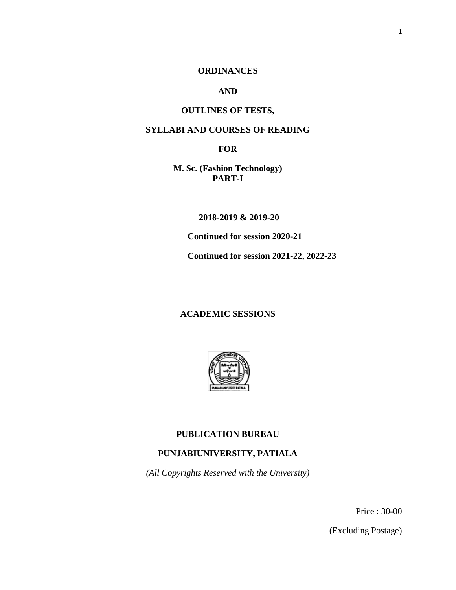## **ORDINANCES**

## **AND**

## **OUTLINES OF TESTS,**

## **SYLLABI AND COURSES OF READING**

**FOR**

**M. Sc. (Fashion Technology) PART-I** 

 **2018-2019 & 2019-20**

**Continued for session 2020-21**

**Continued for session 2021-22, 2022-23**

## **ACADEMIC SESSIONS**



## **PUBLICATION BUREAU**

## **PUNJABIUNIVERSITY, PATIALA**

*(All Copyrights Reserved with the University)*

Price : 30-00

(Excluding Postage)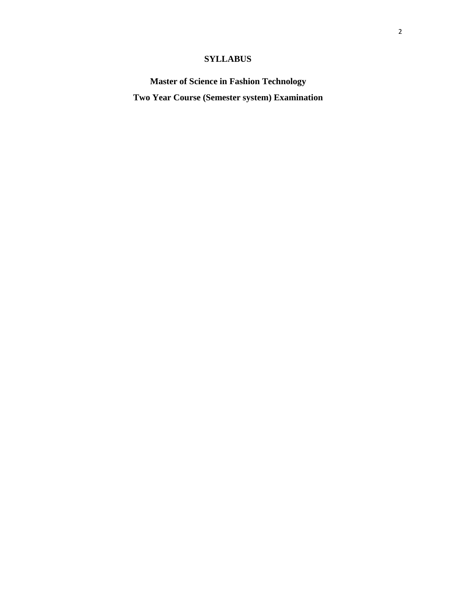# **SYLLABUS**

**Master of Science in Fashion Technology Two Year Course (Semester system) Examination**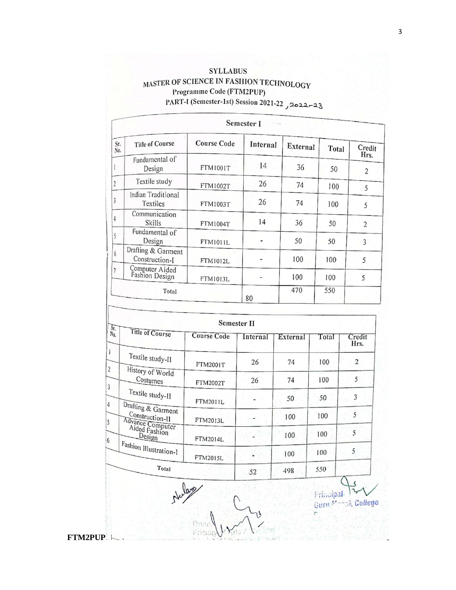# **SYLLABUS** MASTER OF SCIENCE IN FASHION TECHNOLOGY Programme Code (FTM2PUP) PART-I (Semester-1st) Session 2021-22 2022-23

| Semester I     |                                      |                    |          |          |       |                        |
|----------------|--------------------------------------|--------------------|----------|----------|-------|------------------------|
| Sr.<br>No.     | <b>Title of Course</b>               | <b>Course Code</b> | Internal | External | Total | Credit                 |
|                | Fundamental of<br>Design             | <b>FTM1001T</b>    | 14       | 36       | 50    | Hrs.<br>$\overline{2}$ |
| $\overline{2}$ | Textile study                        | FTM1002T           | 26       | 74       | 100   | 5                      |
| 3              | Indian Traditional<br>Textiles       | <b>FTM1003T</b>    | 26       | 74       | 100   | 5                      |
| $\overline{4}$ | Communication<br>Skills              | FTM1004T           | 14       | 36       | 50    | $\overline{c}$         |
| 5              | Fundamental of<br>Design             | <b>FTM1011L</b>    |          | 50       | 50    | 3                      |
| 6              | Drafting & Garment<br>Construction-I | FTM1012L           |          | 100      | 100   | 5                      |
| $\overline{7}$ | Computer Aided<br>Fashion Design     | FTM1013L           |          | 100      | 100   | 5                      |
| Total          |                                      |                    | 80       | 470      | 550   |                        |

| Title of Course                                                                                          | <b>Course Code</b> | Internal | External | Total | Credit<br>Hrs. |
|----------------------------------------------------------------------------------------------------------|--------------------|----------|----------|-------|----------------|
| Textile study-II                                                                                         | <b>FTM2001T</b>    | 26       | 74       | 100   | 2              |
| History of World<br>Costumes                                                                             | FTM2002T           | 26       | 74       | 100   | 5              |
| Textile study-II<br>Drafting & Garment<br>Construction-II<br>Advance Computer<br>Aided Fashion<br>Design | FTM2011L           |          | 50       | 50    | 3              |
|                                                                                                          | FTM2013L           |          | 100      | 100   | 5              |
|                                                                                                          | FTM2014L           |          | 100      | 100   | 5              |
| Fashion Illustration-I                                                                                   | FTM2015L           |          | 100      | 100   | 5              |
| Total                                                                                                    |                    | 52       | 498      | 550   |                |

Frincipal 12

**FTM2PUP**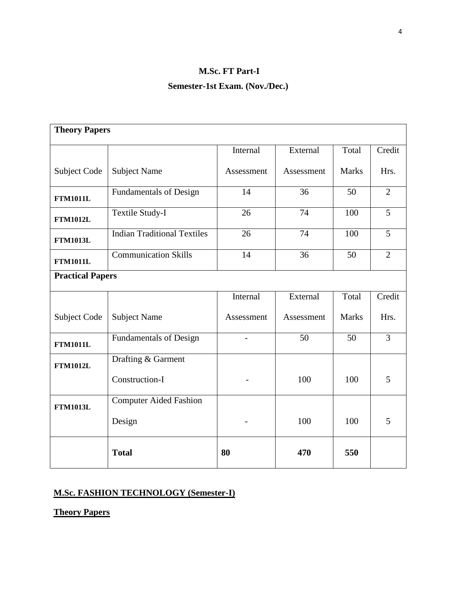# **M.Sc. FT Part-I Semester-1st Exam. (Nov./Dec.)**

| <b>Theory Papers</b>    |                                    |            |            |              |                |  |  |  |
|-------------------------|------------------------------------|------------|------------|--------------|----------------|--|--|--|
|                         |                                    | Internal   | External   | Total        | Credit         |  |  |  |
| Subject Code            | <b>Subject Name</b>                | Assessment | Assessment | <b>Marks</b> | Hrs.           |  |  |  |
| <b>FTM1011L</b>         | <b>Fundamentals of Design</b>      | 14         | 36         | 50           | $\overline{2}$ |  |  |  |
| <b>FTM1012L</b>         | Textile Study-I                    | 26         | 74         | 100          | 5              |  |  |  |
| <b>FTM1013L</b>         | <b>Indian Traditional Textiles</b> | 26         | 74         | 100          | $\overline{5}$ |  |  |  |
| <b>FTM1011L</b>         | <b>Communication Skills</b>        | 14         | 36         | 50           | $\overline{2}$ |  |  |  |
| <b>Practical Papers</b> |                                    |            |            |              |                |  |  |  |
|                         |                                    | Internal   | External   | Total        | Credit         |  |  |  |
| Subject Code            | <b>Subject Name</b>                | Assessment | Assessment | <b>Marks</b> | Hrs.           |  |  |  |
| <b>FTM1011L</b>         | <b>Fundamentals of Design</b>      |            | 50         | 50           | $\overline{3}$ |  |  |  |
| <b>FTM1012L</b>         | Drafting & Garment                 |            |            |              |                |  |  |  |
|                         | Construction-I                     |            | 100        | 100          | 5              |  |  |  |
| <b>FTM1013L</b>         | Computer Aided Fashion             |            |            |              |                |  |  |  |
|                         | Design                             |            | 100        | 100          | 5              |  |  |  |
|                         | <b>Total</b>                       | 80         | 470        | 550          |                |  |  |  |

# **M.Sc. FASHION TECHNOLOGY (Semester-I)**

**Theory Papers**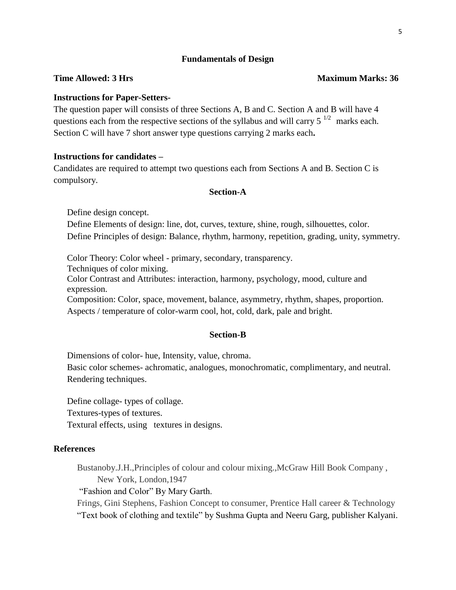#### **Fundamentals of Design**

## **Instructions for Paper-Setters-**

The question paper will consists of three Sections A, B and C. Section A and B will have 4 questions each from the respective sections of the syllabus and will carry  $5^{1/2}$  marks each. Section C will have 7 short answer type questions carrying 2 marks each**.**

## **Instructions for candidates –**

Candidates are required to attempt two questions each from Sections A and B. Section C is compulsory.

### **Section-A**

Define design concept. Define Elements of design: line, dot, curves, texture, shine, rough, silhouettes, color. Define Principles of design: Balance, rhythm, harmony, repetition, grading, unity, symmetry.

Color Theory: Color wheel - primary, secondary, transparency. Techniques of color mixing. Color Contrast and Attributes: interaction, harmony, psychology, mood, culture and expression.

Composition: Color, space, movement, balance, asymmetry, rhythm, shapes, proportion. Aspects / temperature of color-warm cool, hot, cold, dark, pale and bright.

#### **Section-B**

Dimensions of color- hue, Intensity, value, chroma.

Basic color schemes- achromatic, analogues, monochromatic, complimentary, and neutral. Rendering techniques.

Define collage- types of collage.

Textures-types of textures.

Textural effects, using textures in designs.

#### **References**

Bustanoby.J.H.,Principles of colour and colour mixing.,McGraw Hill Book Company , New York, London,1947

"Fashion and Color" By Mary Garth.

Frings, Gini Stephens, Fashion Concept to consumer, Prentice Hall career & Technology "Text book of clothing and textile" by Sushma Gupta and Neeru Garg, publisher Kalyani.

#### **Time Allowed: 3 Hrs** Maximum Marks: 36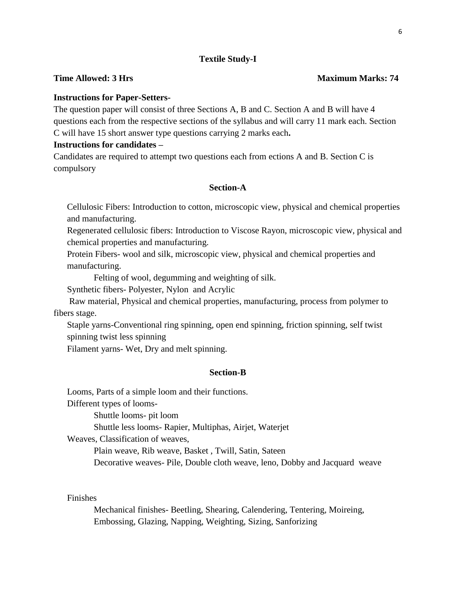## **Textile Study-I**

## **Instructions for Paper-Setters-**

The question paper will consist of three Sections A, B and C. Section A and B will have 4 questions each from the respective sections of the syllabus and will carry 11 mark each. Section C will have 15 short answer type questions carrying 2 marks each**.**

### **Instructions for candidates –**

Candidates are required to attempt two questions each from ections A and B. Section C is compulsory

### **Section-A**

Cellulosic Fibers: Introduction to cotton, microscopic view, physical and chemical properties and manufacturing.

Regenerated cellulosic fibers: Introduction to Viscose Rayon, microscopic view, physical and chemical properties and manufacturing.

Protein Fibers- wool and silk, microscopic view, physical and chemical properties and manufacturing.

Felting of wool, degumming and weighting of silk.

Synthetic fibers- Polyester, Nylon and Acrylic

 Raw material, Physical and chemical properties, manufacturing, process from polymer to fibers stage.

Staple yarns-Conventional ring spinning, open end spinning, friction spinning, self twist spinning twist less spinning

Filament yarns- Wet, Dry and melt spinning.

#### **Section-B**

Looms, Parts of a simple loom and their functions.

Different types of looms-

Shuttle looms- pit loom

Shuttle less looms- Rapier, Multiphas, Airjet, Waterjet

Weaves, Classification of weaves,

Plain weave, Rib weave, Basket , Twill, Satin, Sateen

Decorative weaves- Pile, Double cloth weave, leno, Dobby and Jacquard weave

Finishes

Mechanical finishes- Beetling, Shearing, Calendering, Tentering, Moireing, Embossing, Glazing, Napping, Weighting, Sizing, Sanforizing

#### **Time Allowed: 3 Hrs** Maximum Marks: 74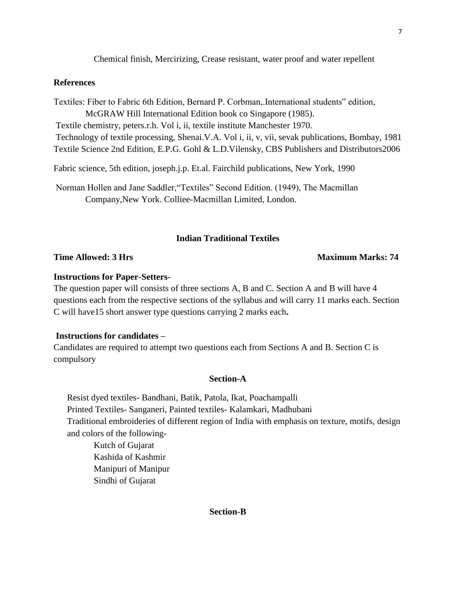Chemical finish, Mercirizing, Crease resistant, water proof and water repellent

### **References**

Textiles: Fiber to Fabric 6th Edition, Bernard P. Corbman,.International students" edition,

McGRAW Hill International Edition book co Singapore (1985).

Textile chemistry, peters.r.h. Vol i, ii, textile institute Manchester 1970.

Technology of textile processing, Shenai.V.A. Vol i, ii, v, vii, sevak publications, Bombay, 1981 Textile Science 2nd Edition, E.P.G. Gohl & L.D.Vilensky, CBS Publishers and Distributors2006

Fabric science, 5th edition, joseph.j.p. Et.al. Fairchild publications, New York, 1990

Norman Hollen and Jane Saddler,"Textiles" Second Edition. (1949), The Macmillan Company,New York. Colliee-Macmillan Limited, London.

## **Indian Traditional Textiles**

#### **Time Allowed: 3 Hrs** Maximum Marks: 74

#### **Instructions for Paper-Setters-**

The question paper will consists of three sections A, B and C. Section A and B will have 4 questions each from the respective sections of the syllabus and will carry 11 marks each. Section C will have15 short answer type questions carrying 2 marks each**.** 

## **Instructions for candidates –**

Candidates are required to attempt two questions each from Sections A and B. Section C is compulsory

### **Section-A**

Resist dyed textiles- Bandhani, Batik, Patola, Ikat, Poachampalli Printed Textiles- Sanganeri, Painted textiles- Kalamkari, Madhubani Traditional embroideries of different region of India with emphasis on texture, motifs, design and colors of the following-

Kutch of Gujarat Kashida of Kashmir Manipuri of Manipur Sindhi of Gujarat

## **Section-B**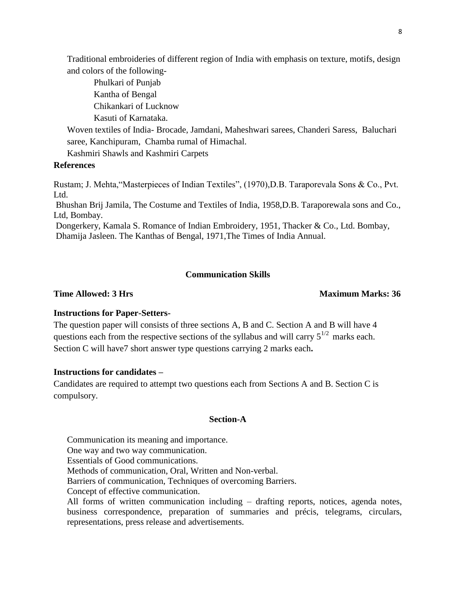Traditional embroideries of different region of India with emphasis on texture, motifs, design and colors of the following-

Phulkari of Punjab Kantha of Bengal Chikankari of Lucknow Kasuti of Karnataka.

Woven textiles of India- Brocade, Jamdani, Maheshwari sarees, Chanderi Saress, Baluchari saree, Kanchipuram, Chamba rumal of Himachal.

Kashmiri Shawls and Kashmiri Carpets

## **References**

Rustam; J. Mehta,"Masterpieces of Indian Textiles", (1970),D.B. Taraporevala Sons & Co., Pvt. Ltd.

Bhushan Brij Jamila, The Costume and Textiles of India, 1958,D.B. Taraporewala sons and Co., Ltd, Bombay.

Dongerkery, Kamala S. Romance of Indian Embroidery, 1951, Thacker & Co., Ltd. Bombay, Dhamija Jasleen. The Kanthas of Bengal, 1971,The Times of India Annual.

## **Communication Skills**

### **Time Allowed: 3 Hrs** Maximum Marks: 36

## **Instructions for Paper-Setters-**

The question paper will consists of three sections A, B and C. Section A and B will have 4 questions each from the respective sections of the syllabus and will carry  $5^{1/2}$  marks each. Section C will have7 short answer type questions carrying 2 marks each**.**

## **Instructions for candidates –**

Candidates are required to attempt two questions each from Sections A and B. Section C is compulsory.

#### **Section-A**

Communication its meaning and importance.

One way and two way communication.

Essentials of Good communications.

Methods of communication, Oral, Written and Non-verbal.

Barriers of communication, Techniques of overcoming Barriers.

Concept of effective communication.

All forms of written communication including – drafting reports, notices, agenda notes, business correspondence, preparation of summaries and précis, telegrams, circulars, representations, press release and advertisements.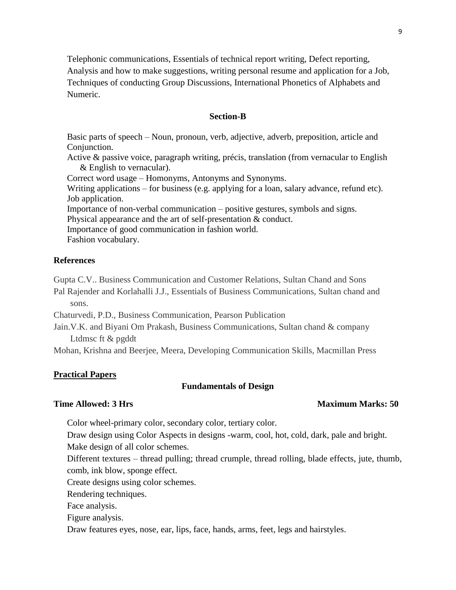Telephonic communications, Essentials of technical report writing, Defect reporting, Analysis and how to make suggestions, writing personal resume and application for a Job, Techniques of conducting Group Discussions, International Phonetics of Alphabets and Numeric.

## **Section-B**

Basic parts of speech – Noun, pronoun, verb, adjective, adverb, preposition, article and Conjunction.

Active & passive voice, paragraph writing, précis, translation (from vernacular to English & English to vernacular).

Correct word usage – Homonyms, Antonyms and Synonyms.

Writing applications – for business (e.g. applying for a loan, salary advance, refund etc). Job application.

Importance of non-verbal communication – positive gestures, symbols and signs.

Physical appearance and the art of self-presentation & conduct.

Importance of good communication in fashion world.

Fashion vocabulary.

## **References**

Gupta C.V.. Business Communication and Customer Relations, Sultan Chand and Sons Pal Rajender and Korlahalli J.J., Essentials of Business Communications, Sultan chand and sons.

Chaturvedi, P.D., Business Communication, Pearson Publication

Jain.V.K. and Biyani Om Prakash, Business Communications, Sultan chand & company Ltdmsc ft & pgddt

Mohan, Krishna and Beerjee, Meera, Developing Communication Skills, Macmillan Press

## **Practical Papers**

## **Fundamentals of Design**

## **Time Allowed: 3 Hrs** Maximum Marks: 50

Color wheel-primary color, secondary color, tertiary color.

Draw design using Color Aspects in designs -warm, cool, hot, cold, dark, pale and bright. Make design of all color schemes.

Different textures – thread pulling; thread crumple, thread rolling, blade effects, jute, thumb, comb, ink blow, sponge effect.

Create designs using color schemes.

Rendering techniques.

Face analysis.

Figure analysis.

Draw features eyes, nose, ear, lips, face, hands, arms, feet, legs and hairstyles.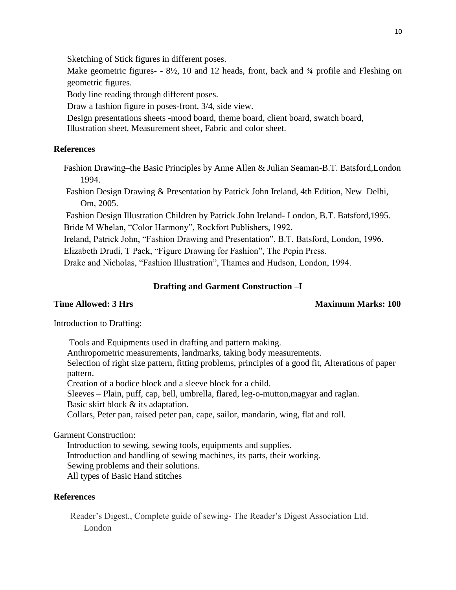Sketching of Stick figures in different poses.

Make geometric figures-  $-8\frac{1}{2}$ , 10 and 12 heads, front, back and  $\frac{3}{4}$  profile and Fleshing on geometric figures.

Body line reading through different poses.

Draw a fashion figure in poses-front, 3/4, side view.

Design presentations sheets -mood board, theme board, client board, swatch board,

Illustration sheet, Measurement sheet, Fabric and color sheet.

## **References**

Fashion Drawing–the Basic Principles by Anne Allen & Julian Seaman-B.T. Batsford,London 1994.

Fashion Design Drawing & Presentation by Patrick John Ireland, 4th Edition, New Delhi, Om, 2005.

Fashion Design Illustration Children by Patrick John Ireland- London, B.T. Batsford,1995. Bride M Whelan, "Color Harmony", Rockfort Publishers, 1992.

Ireland, Patrick John, "Fashion Drawing and Presentation", B.T. Batsford, London, 1996.

Elizabeth Drudi, T Pack, "Figure Drawing for Fashion", The Pepin Press.

Drake and Nicholas, "Fashion Illustration", Thames and Hudson, London, 1994.

## **Drafting and Garment Construction –I**

## **Time Allowed: 3 Hrs** Maximum Marks: 100

Introduction to Drafting:

Tools and Equipments used in drafting and pattern making. Anthropometric measurements, landmarks, taking body measurements. Selection of right size pattern, fitting problems, principles of a good fit, Alterations of paper pattern. Creation of a bodice block and a sleeve block for a child. Sleeves – Plain, puff, cap, bell, umbrella, flared, leg-o-mutton,magyar and raglan. Basic skirt block & its adaptation. Collars, Peter pan, raised peter pan, cape, sailor, mandarin, wing, flat and roll.

Garment Construction:

Introduction to sewing, sewing tools, equipments and supplies. Introduction and handling of sewing machines, its parts, their working. Sewing problems and their solutions. All types of Basic Hand stitches

## **References**

Reader's Digest., Complete guide of sewing- The Reader's Digest Association Ltd. London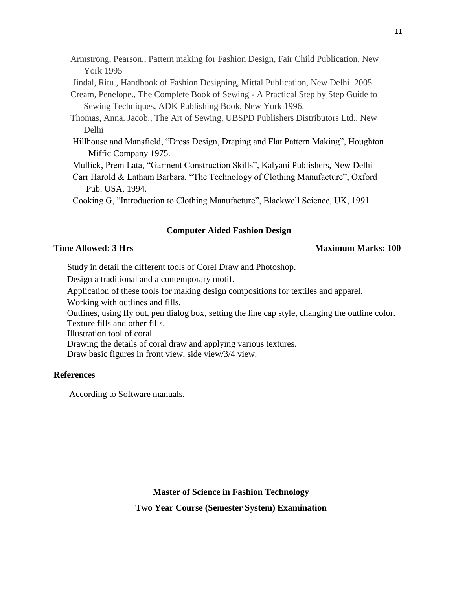Armstrong, Pearson., Pattern making for Fashion Design, Fair Child Publication, New York 1995

Jindal, Ritu., Handbook of Fashion Designing, Mittal Publication, New Delhi 2005

Cream, Penelope., The Complete Book of Sewing - A Practical Step by Step Guide to Sewing Techniques, ADK Publishing Book, New York 1996.

Thomas, Anna. Jacob., The Art of Sewing, UBSPD Publishers Distributors Ltd., New Delhi

Hillhouse and Mansfield, "Dress Design, Draping and Flat Pattern Making", Houghton Miffic Company 1975.

Mullick, Prem Lata, "Garment Construction Skills", Kalyani Publishers, New Delhi

Carr Harold & Latham Barbara, "The Technology of Clothing Manufacture", Oxford Pub. USA, 1994.

Cooking G, "Introduction to Clothing Manufacture", Blackwell Science, UK, 1991

## **Computer Aided Fashion Design**

#### **Time Allowed: 3 Hrs** Maximum Marks: 100

Study in detail the different tools of Corel Draw and Photoshop.

Design a traditional and a contemporary motif.

Application of these tools for making design compositions for textiles and apparel.

Working with outlines and fills.

Outlines, using fly out, pen dialog box, setting the line cap style, changing the outline color. Texture fills and other fills.

Illustration tool of coral.

Drawing the details of coral draw and applying various textures.

Draw basic figures in front view, side view/3/4 view.

## **References**

According to Software manuals.

# **Master of Science in Fashion Technology Two Year Course (Semester System) Examination**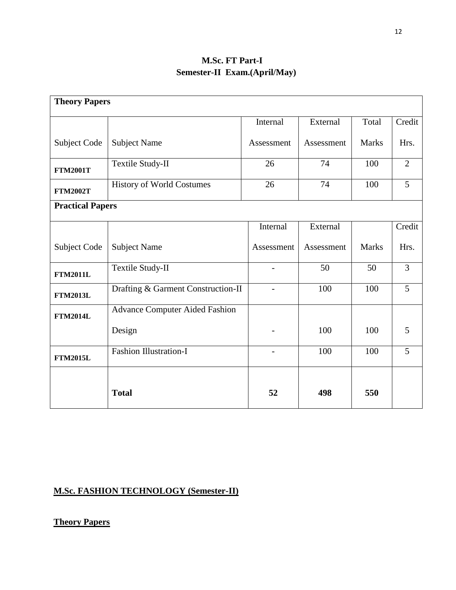# **M.Sc. FT Part-I Semester-II Exam.(April/May)**

| <b>Theory Papers</b>    |                                       |            |            |              |                |  |  |  |
|-------------------------|---------------------------------------|------------|------------|--------------|----------------|--|--|--|
|                         |                                       | Internal   | External   | Total        | Credit         |  |  |  |
| Subject Code            | <b>Subject Name</b>                   | Assessment | Assessment | <b>Marks</b> | Hrs.           |  |  |  |
| <b>FTM2001T</b>         | Textile Study-II                      | 26         | 74         | 100          | $\overline{2}$ |  |  |  |
| <b>FTM2002T</b>         | <b>History of World Costumes</b>      | 26         | 74         | 100          | 5              |  |  |  |
| <b>Practical Papers</b> |                                       |            |            |              |                |  |  |  |
|                         |                                       | Internal   | External   |              | Credit         |  |  |  |
| Subject Code            | <b>Subject Name</b>                   | Assessment | Assessment | <b>Marks</b> | Hrs.           |  |  |  |
| <b>FTM2011L</b>         | Textile Study-II                      |            | 50         | 50           | $\overline{3}$ |  |  |  |
| <b>FTM2013L</b>         | Drafting & Garment Construction-II    |            | 100        | 100          | $\overline{5}$ |  |  |  |
| <b>FTM2014L</b>         | <b>Advance Computer Aided Fashion</b> |            |            |              |                |  |  |  |
|                         | Design                                |            | 100        | 100          | 5              |  |  |  |
| <b>FTM2015L</b>         | <b>Fashion Illustration-I</b>         |            | 100        | 100          | 5              |  |  |  |
|                         | <b>Total</b>                          | 52         | 498        | 550          |                |  |  |  |

# **M.Sc. FASHION TECHNOLOGY (Semester-II)**

**Theory Papers**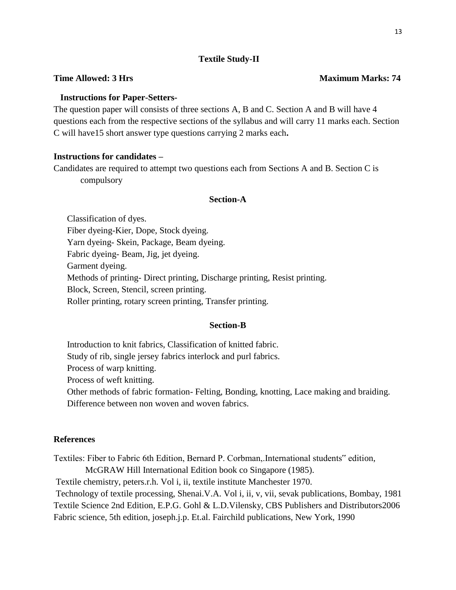## **Textile Study-II**

## **Time Allowed: 3 Hrs** Maximum Marks: 74

## **Instructions for Paper-Setters-**

The question paper will consists of three sections A, B and C. Section A and B will have 4 questions each from the respective sections of the syllabus and will carry 11 marks each. Section C will have15 short answer type questions carrying 2 marks each**.**

## **Instructions for candidates –**

Candidates are required to attempt two questions each from Sections A and B. Section C is compulsory

#### **Section-A**

Classification of dyes. Fiber dyeing-Kier, Dope, Stock dyeing. Yarn dyeing- Skein, Package, Beam dyeing. Fabric dyeing- Beam, Jig, jet dyeing. Garment dyeing. Methods of printing- Direct printing, Discharge printing, Resist printing. Block, Screen, Stencil, screen printing. Roller printing, rotary screen printing, Transfer printing.

#### **Section-B**

Introduction to knit fabrics, Classification of knitted fabric. Study of rib, single jersey fabrics interlock and purl fabrics. Process of warp knitting. Process of weft knitting. Other methods of fabric formation- Felting, Bonding, knotting, Lace making and braiding. Difference between non woven and woven fabrics.

## **References**

Textiles: Fiber to Fabric 6th Edition, Bernard P. Corbman,.International students" edition,

McGRAW Hill International Edition book co Singapore (1985).

Textile chemistry, peters.r.h. Vol i, ii, textile institute Manchester 1970.

Technology of textile processing, Shenai.V.A. Vol i, ii, v, vii, sevak publications, Bombay, 1981 Textile Science 2nd Edition, E.P.G. Gohl & L.D.Vilensky, CBS Publishers and Distributors2006 Fabric science, 5th edition, joseph.j.p. Et.al. Fairchild publications, New York, 1990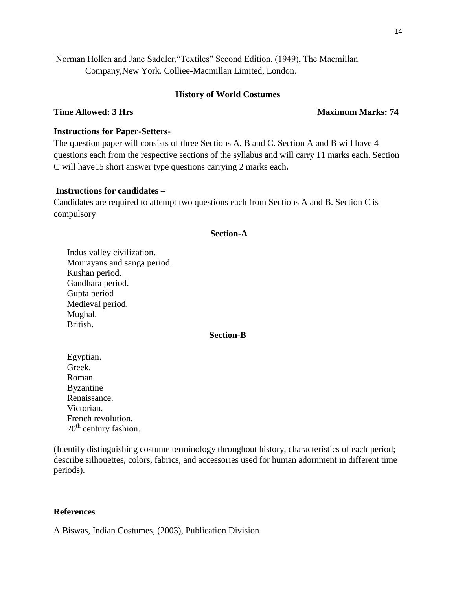Norman Hollen and Jane Saddler,"Textiles" Second Edition. (1949), The Macmillan Company,New York. Colliee-Macmillan Limited, London.

## **History of World Costumes**

## **Time Allowed: 3 Hrs** Maximum Marks: 74

## **Instructions for Paper-Setters-**

The question paper will consists of three Sections A, B and C. Section A and B will have 4 questions each from the respective sections of the syllabus and will carry 11 marks each. Section C will have15 short answer type questions carrying 2 marks each**.**

## **Instructions for candidates –**

Candidates are required to attempt two questions each from Sections A and B. Section C is compulsory

## **Section-A**

Indus valley civilization. Mourayans and sanga period. Kushan period. Gandhara period. Gupta period Medieval period. Mughal. British.

#### **Section-B**

Egyptian. Greek. Roman. Byzantine Renaissance. Victorian. French revolution.  $20<sup>th</sup>$  century fashion.

(Identify distinguishing costume terminology throughout history, characteristics of each period; describe silhouettes, colors, fabrics, and accessories used for human adornment in different time periods).

## **References**

A.Biswas, Indian Costumes, (2003), Publication Division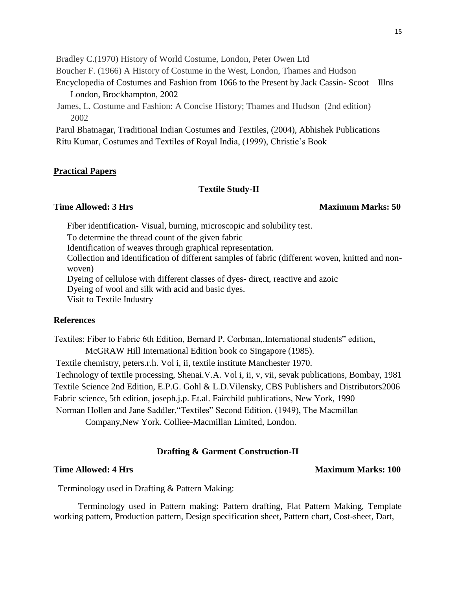Bradley C.(1970) History of World Costume, London, Peter Owen Ltd

Boucher F. (1966) A History of Costume in the West, London, Thames and Hudson

- Encyclopedia of Costumes and Fashion from 1066 to the Present by Jack Cassin- Scoot Illns London, Brockhampton, 2002
- James, L. Costume and Fashion: A Concise History; Thames and Hudson (2nd edition) 2002

 Parul Bhatnagar, Traditional Indian Costumes and Textiles, (2004), Abhishek Publications Ritu Kumar, Costumes and Textiles of Royal India, (1999), Christie's Book

## **Practical Papers**

### **Textile Study-II**

#### **Time Allowed: 3 Hrs** Maximum Marks: 50

Fiber identification- Visual, burning, microscopic and solubility test.

To determine the thread count of the given fabric

Identification of weaves through graphical representation.

Collection and identification of different samples of fabric (different woven, knitted and nonwoven)

Dyeing of cellulose with different classes of dyes- direct, reactive and azoic

Dyeing of wool and silk with acid and basic dyes.

Visit to Textile Industry

## **References**

Textiles: Fiber to Fabric 6th Edition, Bernard P. Corbman,.International students" edition,

McGRAW Hill International Edition book co Singapore (1985).

Textile chemistry, peters.r.h. Vol i, ii, textile institute Manchester 1970.

Technology of textile processing, Shenai.V.A. Vol i, ii, v, vii, sevak publications, Bombay, 1981 Textile Science 2nd Edition, E.P.G. Gohl & L.D.Vilensky, CBS Publishers and Distributors2006 Fabric science, 5th edition, joseph.j.p. Et.al. Fairchild publications, New York, 1990

Norman Hollen and Jane Saddler,"Textiles" Second Edition. (1949), The Macmillan

Company,New York. Colliee-Macmillan Limited, London.

## **Drafting & Garment Construction-II**

#### **Time Allowed: 4 Hrs** Maximum Marks: 100

Terminology used in Drafting & Pattern Making:

 Terminology used in Pattern making: Pattern drafting, Flat Pattern Making, Template working pattern, Production pattern, Design specification sheet, Pattern chart, Cost-sheet, Dart,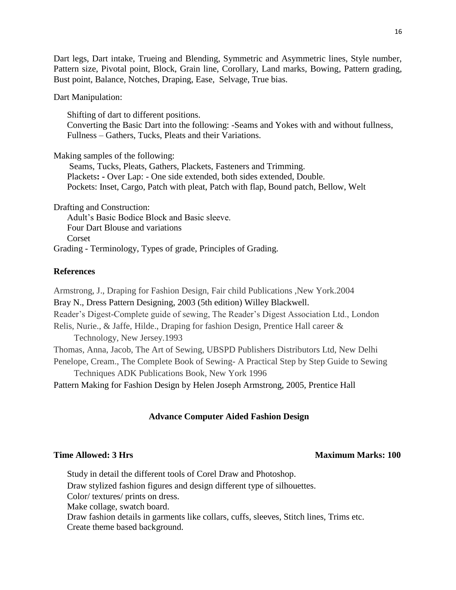Dart legs, Dart intake, Trueing and Blending, Symmetric and Asymmetric lines, Style number, Pattern size, Pivotal point, Block, Grain line, Corollary, Land marks, Bowing, Pattern grading, Bust point, Balance, Notches, Draping, Ease, Selvage, True bias.

Dart Manipulation:

Shifting of dart to different positions. Converting the Basic Dart into the following: -Seams and Yokes with and without fullness, Fullness – Gathers, Tucks, Pleats and their Variations.

Making samples of the following:

Seams, Tucks, Pleats, Gathers, Plackets, Fasteners and Trimming. Plackets**: -** Over Lap: - One side extended, both sides extended, Double. Pockets: Inset, Cargo, Patch with pleat, Patch with flap, Bound patch, Bellow, Welt

Drafting and Construction:

Adult's Basic Bodice Block and Basic sleeve. Four Dart Blouse and variations Corset Grading - Terminology, Types of grade, Principles of Grading.

## **References**

Armstrong, J., Draping for Fashion Design, Fair child Publications ,New York.2004 Bray N., Dress Pattern Designing, 2003 (5th edition) Willey Blackwell. Reader's Digest-Complete guide of sewing, The Reader's Digest Association Ltd., London Relis, Nurie., & Jaffe, Hilde., Draping for fashion Design, Prentice Hall career & Technology, New Jersey.1993 Thomas, Anna, Jacob, The Art of Sewing, UBSPD Publishers Distributors Ltd, New Delhi Penelope, Cream., The Complete Book of Sewing- A Practical Step by Step Guide to Sewing Techniques ADK Publications Book, New York 1996 Pattern Making for Fashion Design by Helen Joseph Armstrong, 2005, Prentice Hall

## **Advance Computer Aided Fashion Design**

## **Time Allowed: 3 Hrs** Maximum Marks: 100

Study in detail the different tools of Corel Draw and Photoshop. Draw stylized fashion figures and design different type of silhouettes. Color/ textures/ prints on dress. Make collage, swatch board. Draw fashion details in garments like collars, cuffs, sleeves, Stitch lines, Trims etc. Create theme based background.